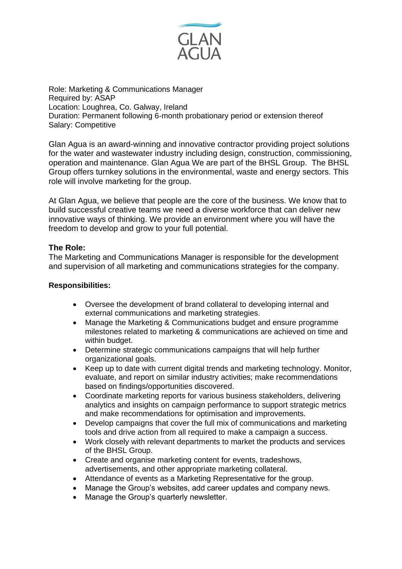

Role: Marketing & Communications Manager Required by: ASAP Location: Loughrea, Co. Galway, Ireland Duration: Permanent following 6-month probationary period or extension thereof Salary: Competitive

Glan Agua is an award-winning and innovative contractor providing project solutions for the water and wastewater industry including design, construction, commissioning, operation and maintenance. Glan Agua We are part of the BHSL Group. The BHSL Group offers turnkey solutions in the environmental, waste and energy sectors. This role will involve marketing for the group.

At Glan Agua, we believe that people are the core of the business. We know that to build successful creative teams we need a diverse workforce that can deliver new innovative ways of thinking. We provide an environment where you will have the freedom to develop and grow to your full potential.

## **The Role:**

The Marketing and Communications Manager is responsible for the development and supervision of all marketing and communications strategies for the company.

## **Responsibilities:**

- Oversee the development of brand collateral to developing internal and external communications and marketing strategies.
- Manage the Marketing & Communications budget and ensure programme milestones related to marketing & communications are achieved on time and within budget.
- Determine strategic communications campaigns that will help further organizational goals.
- Keep up to date with current digital trends and marketing technology. Monitor, evaluate, and report on similar industry activities; make recommendations based on findings/opportunities discovered.
- Coordinate marketing reports for various business stakeholders, delivering analytics and insights on campaign performance to support strategic metrics and make recommendations for optimisation and improvements.
- Develop campaigns that cover the full mix of communications and marketing tools and drive action from all required to make a campaign a success.
- Work closely with relevant departments to market the products and services of the BHSL Group.
- Create and organise marketing content for events, tradeshows, advertisements, and other appropriate marketing collateral.
- Attendance of events as a Marketing Representative for the group.
- Manage the Group's websites, add career updates and company news.
- Manage the Group's quarterly newsletter.